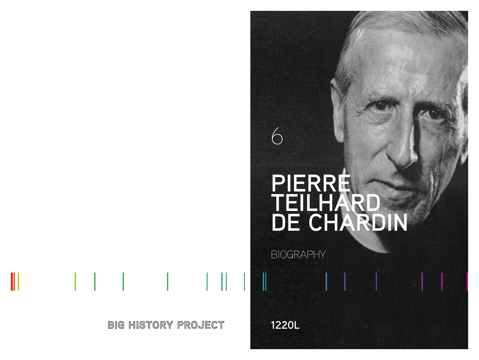# **PIERRE TEILHARD DE CHARDIN**

BIOGRAPHY

**1220L**

6

**BIG HISTORY PROJECT** 

ι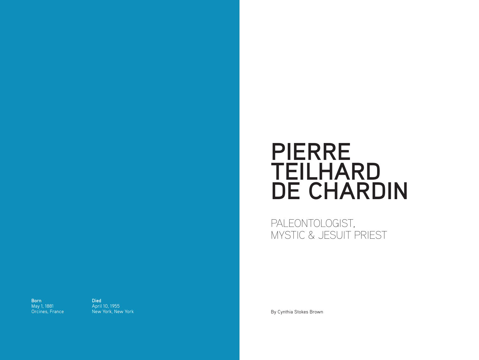## **PIERRE TEILHARD DE CHARDIN**

PALEONTOLOGIST, MYSTIC & JESUIT PRIEST

**Born** May 1, 1881 Orcines, France **Died** April 10, 1955<br>New York, New York

By Cynthia Stokes Brown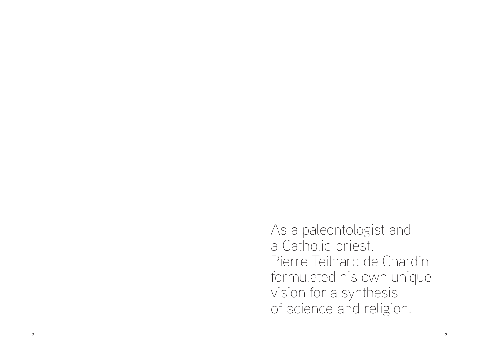As a paleontologist and a Catholic priest, Pierre Teilhard de Chardin formulated his own unique vision for a synthesis of science and religion.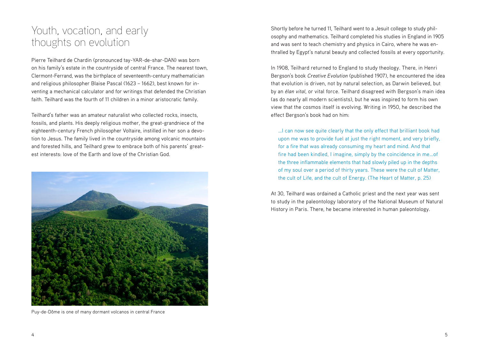#### Youth, vocation, and early thoughts on evolution

Pierre Teilhard de Chardin (pronounced tay-YAR-de-shar-DAN) was born on his family's estate in the countryside of central France. The nearest town, Clermont-Ferrand, was the birthplace of seventeenth-century mathematician and religious philosopher Blaise Pascal (1623 – 1662), best known for inventing a mechanical calculator and for writings that defended the Christian faith. Teilhard was the fourth of 11 children in a minor aristocratic family.

Teilhard's father was an amateur naturalist who collected rocks, insects, fossils, and plants. His deeply religious mother, the great-grandniece of the eighteenth-century French philosopher Voltaire, instilled in her son a devotion to Jesus. The family lived in the countryside among volcanic mountains and forested hills, and Teilhard grew to embrace both of his parents' greatest interests: love of the Earth and love of the Christian God.



Puy-de-Dôme is one of many dormant volcanos in central France

Shortly before he turned 11, Teilhard went to a Jesuit college to study philosophy and mathematics. Teilhard completed his studies in England in 1905 and was sent to teach chemistry and physics in Cairo, where he was enthralled by Egypt's natural beauty and collected fossils at every opportunity.

In 1908, Teilhard returned to England to study theology. There, in Henri Bergson's book *Creative Evolution* (published 1907), he encountered the idea that evolution is driven, not by natural selection, as Darwin believed, but by an *élan vital*, or vital force. Teilhard disagreed with Bergson's main idea (as do nearly all modern scientists), but he was inspired to form his own view that the cosmos itself is evolving. Writing in 1950, he described the effect Bergson's book had on him:

…I can now see quite clearly that the only effect that brilliant book had upon me was to provide fuel at just the right moment, and very briefly, for a fire that was already consuming my heart and mind. And that fire had been kindled, I imagine, simply by the coincidence in me…of the three inflammable elements that had slowly piled up in the depths of my soul over a period of thirty years. These were the cult of Matter, the cult of Life, and the cult of Energy. (The Heart of Matter, p. 25)

At 30, Teilhard was ordained a Catholic priest and the next year was sent to study in the paleontology laboratory of the National Museum of Natural History in Paris. There, he became interested in human paleontology.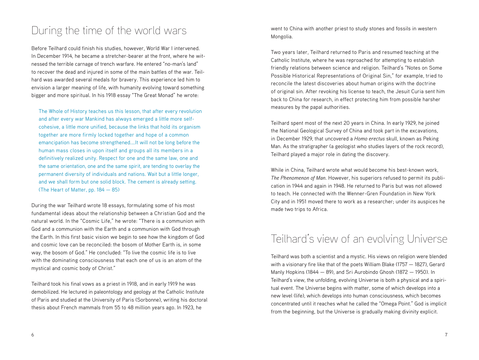### During the time of the world wars

Before Teilhard could finish his studies, however, World War I intervened. In December 1914, he became a stretcher-bearer at the front, where he witnessed the terrible carnage of trench warfare. He entered "no-man's land" to recover the dead and injured in some of the main battles of the war. Teilhard was awarded several medals for bravery. This experience led him to envision a larger meaning of life, with humanity evolving toward something bigger and more spiritual. In his 1918 essay "The Great Monad" he wrote:

The Whole of History teaches us this lesson, that after every revolution and after every war Mankind has always emerged a little more selfcohesive, a little more unified, because the links that hold its organism together are more firmly locked together and hope of a common emancipation has become strengthened.…It will not be long before the human mass closes in upon itself and groups all its members in a definitively realized unity. Respect for one and the same law, one and the same orientation, one and the same spirit, are tending to overlay the permanent diversity of individuals and nations. Wait but a little longer, and we shall form but one solid block. The cement is already setting. (The Heart of Matter, pp. 184 — 85)

During the war Teilhard wrote 18 essays, formulating some of his most fundamental ideas about the relationship between a Christian God and the natural world. In the "Cosmic Life," he wrote: "There is a communion with God and a communion with the Earth and a communion with God through the Earth. In this first basic vision we begin to see how the kingdom of God and cosmic love can be reconciled: the bosom of Mother Earth is, in some way, the bosom of God." He concluded: "To live the cosmic life is to live with the dominating consciousness that each one of us is an atom of the mystical and cosmic body of Christ."

Teilhard took his final vows as a priest in 1918, and in early 1919 he was demobilized. He lectured in paleontology and geology at the Catholic Institute of Paris and studied at the University of Paris (Sorbonne), writing his doctoral thesis about French mammals from 55 to 48 million years ago. In 1923, he

went to China with another priest to study stones and fossils in western Mongolia.

Two years later, Teilhard returned to Paris and resumed teaching at the Catholic Institute, where he was reproached for attempting to establish friendly relations between science and religion. Teilhard's "Notes on Some Possible Historical Representations of Original Sin," for example, tried to reconcile the latest discoveries about human origins with the doctrine of original sin. After revoking his license to teach, the Jesuit Curia sent him back to China for research, in effect protecting him from possible harsher measures by the papal authorities.

Teilhard spent most of the next 20 years in China. In early 1929, he joined the National Geological Survey of China and took part in the excavations, in December 1929, that uncovered a *Homo erectus* skull, known as Peking Man. As the stratigrapher (a geologist who studies layers of the rock record), Teilhard played a major role in dating the discovery.

While in China, Teilhard wrote what would become his best-known work, *The Phenomenon of Man*. However, his superiors refused to permit its publication in 1944 and again in 1948. He returned to Paris but was not allowed to teach. He connected with the Wenner-Gren Foundation in New York City and in 1951 moved there to work as a researcher; under its auspices he made two trips to Africa.

#### Teilhard's view of an evolving Universe

Teilhard was both a scientist and a mystic. His views on religion were blended with a visionary fire like that of the poets William Blake (1757 — 1827), Gerard Manly Hopkins (1844 — 89), and Sri Aurobindo Ghosh (1872 — 1950). In Teilhard's view, the unfolding, evolving Universe is both a physical and a spiritual event. The Universe begins with matter, some of which develops into a new level (life), which develops into human consciousness, which becomes concentrated until it reaches what he called the "Omega Point." God is implicit from the beginning, but the Universe is gradually making divinity explicit.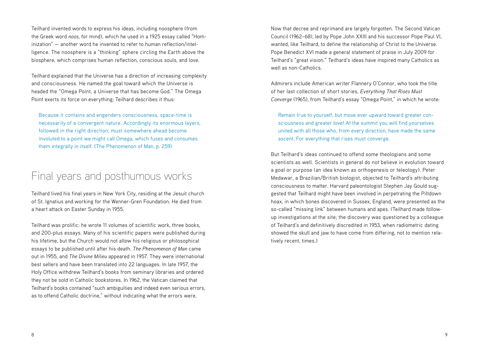Teilhard invented words to express his ideas, including noosphere (from the Greek word *noos*, for mind), which he used in a 1925 essay called "Hominization" — another word he invented to refer to human reflection/intelligence. The noosphere is a "thinking" sphere circling the Earth above the biosphere, which comprises human reflection, conscious souls, and love.

Teilhard explained that the Universe has a direction of increasing complexity and consciousness. He named the goal toward which the Universe is headed the "Omega Point, a Universe that has become God." The Omega Point exerts its force on everything; Teilhard describes it thus:

Because it contains and engenders consciousness, space-time is necessarily of a convergent nature. Accordingly its enormous layers, followed in the right direction, must somewhere ahead become involuted to a point we might call Omega, which fuses and consumes them integrally in itself. (The Phenomenon of Man, p. 259)

#### Final years and posthumous works

Teilhard lived his final years in New York City, residing at the Jesuit church of St. Ignatius and working for the Wenner-Gren Foundation. He died from a heart attack on Easter Sunday in 1955.

Teilhard was prolific: he wrote 11 volumes of scientific work, three books, and 200-plus essays. Many of his scientific papers were published during his lifetime, but the Church would not allow his religious or philosophical essays to be published until after his death. *The Phenomenon of Man* came out in 1955, and *The Divine Milieu* appeared in 1957. They were international best sellers and have been translated into 22 languages. In late 1957, the Holy Office withdrew Teilhard's books from seminary libraries and ordered they not be sold in Catholic bookstores. In 1962, the Vatican claimed that Teilhard's books contained "such ambiguities and indeed even serious errors, as to offend Catholic doctrine," without indicating what the errors were.

Now that decree and reprimand are largely forgotten. The Second Vatican Council (1962–68), led by Pope John XXIII and his successor Pope Paul VI, wanted, like Teilhard, to define the relationship of Christ to the Universe. Pope Benedict XVI made a general statement of praise in July 2009 for Teilhard's "great vision." Teilhard's ideas have inspired many Catholics as well as non-Catholics.

Admirers include American writer Flannery O'Connor, who took the title of her last collection of short stories, *Everything That Rises Must Converge* (1965), from Teilhard's essay "Omega Point," in which he wrote:

Remain true to yourself, but move ever upward toward greater consciousness and greater love! At the summit you will find yourselves united with all those who, from every direction, have made the same ascent. For everything that rises must converge.

But Teilhard's ideas continued to offend some theologians and some scientists as well. Scientists in general do not believe in evolution toward a goal or purpose (an idea known as orthogenesis or teleology). Peter Medawar, a Brazilian/British biologist, objected to Teilhard's attributing consciousness to matter. Harvard paleontologist Stephen Jay Gould suggested that Teilhard might have been involved in perpetrating the Piltdown hoax, in which bones discovered in Sussex, England, were presented as the so-called "missing link" between humans and apes. (Teilhard made followup investigations at the site; the discovery was questioned by a colleague of Teilhard's and definitively discredited in 1953, when radiometric dating showed the skull and jaw to have come from differing, not to mention relatively recent, times.)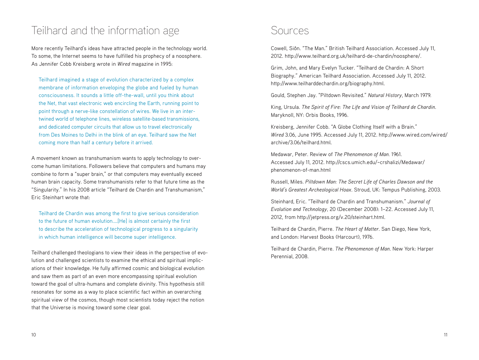### Teilhard and the information age

More recently Teilhard's ideas have attracted people in the technology world. To some, the Internet seems to have fulfilled his prophecy of a noosphere. As Jennifer Cobb Kreisberg wrote in *Wired* magazine in 1995:

Teilhard imagined a stage of evolution characterized by a complex membrane of information enveloping the globe and fueled by human consciousness. It sounds a little off-the-wall, until you think about the Net, that vast electronic web encircling the Earth, running point to point through a nerve-like constellation of wires. We live in an intertwined world of telephone lines, wireless satellite-based transmissions, and dedicated computer circuits that allow us to travel electronically from Des Moines to Delhi in the blink of an eye. Teilhard saw the Net coming more than half a century before it arrived.

A movement known as transhumanism wants to apply technology to overcome human limitations. Followers believe that computers and humans may combine to form a "super brain," or that computers may eventually exceed human brain capacity. Some transhumanists refer to that future time as the "Singularity." In his 2008 article "Teilhard de Chardin and Transhumanism," Eric Steinhart wrote that:

Teilhard de Chardin was among the first to give serious consideration to the future of human evolution.…[He] is almost certainly the first to describe the acceleration of technological progress to a singularity in which human intelligence will become super intelligence.

Teilhard challenged theologians to view their ideas in the perspective of evolution and challenged scientists to examine the ethical and spiritual implications of their knowledge. He fully affirmed cosmic and biological evolution and saw them as part of an even more encompassing spiritual evolution toward the goal of ultra-humans and complete divinity. This hypothesis still resonates for some as a way to place scientific fact within an overarching spiritual view of the cosmos, though most scientists today reject the notion that the Universe is moving toward some clear goal.

#### Sources

Cowell, Siôn. "The Man." British Teilhard Association. Accessed July 11, 2012. http://www.teilhard.org.uk/teilhard-de-chardin/noosphere/.

Grim, John, and Mary Evelyn Tucker. "Teilhard de Chardin: A Short Biography." American Teilhard Association. Accessed July 11, 2012. http://www.teilharddechardin.org/biography.html.

Gould, Stephen Jay. "Piltdown Revisited." *Natural History*, March 1979.

King, Ursula. *The Spirit of Fire: The Life and Vision of Teilhard de Chardin*. Maryknoll, NY: Orbis Books, 1996.

Kreisberg, Jennifer Cobb. "A Globe Clothing Itself with a Brain." *Wired* 3.06, June 1995. Accessed July 11, 2012. http://www.wired.com/wired/ archive/3.06/teilhard.html.

Medawar, Peter. Review of *The Phenomenon of Man.* 1961. Accessed July 11, 2012. http://cscs.umich.edu/~crshalizi/Medawar/ phenomenon-of-man.html

Russell, Miles. *Piltdown Man: The Secret Life of Charles Dawson and the World's Greatest Archeological Hoax*. Stroud, UK: Tempus Publishing, 2003.

Steinhard, Eric. "Teilhard de Chardin and Transhumanism." *Journal of Evolution and Technology*, 20 (December 2008): 1–22. Accessed July 11, 2012, from http://jetpress.org/v.20/steinhart.html.

Teilhard de Chardin, Pierre. *The Heart of Matter*. San Diego, New York, and London: Harvest Books (Harcourt), 1976.

Teilhard de Chardin, Pierre. *The Phenomenon of Man*. New York: Harper Perennial, 2008.